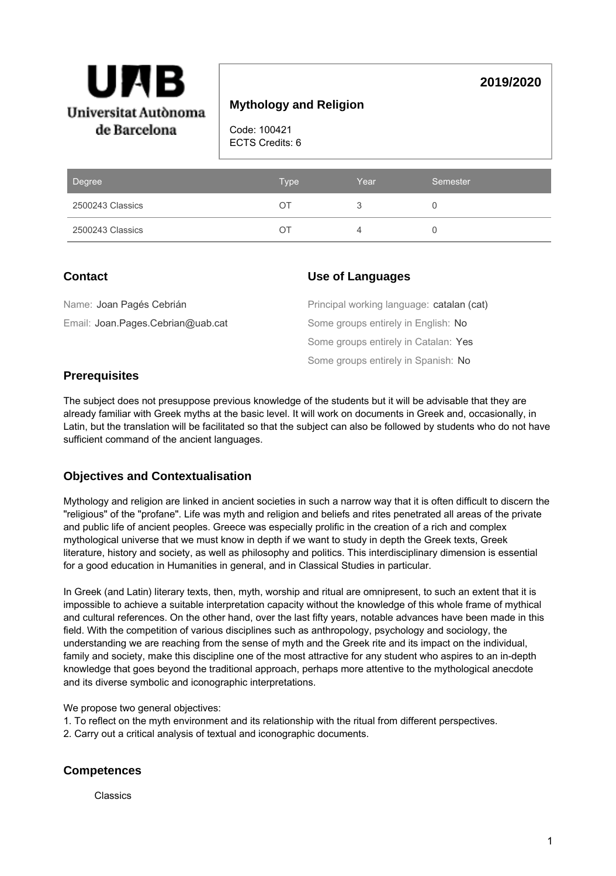

# **Mythology and Religion**

Code: 100421 ECTS Credits: 6

| Degree           | Type | Year | Semester |
|------------------|------|------|----------|
| 2500243 Classics | ΟI   |      |          |
| 2500243 Classics | ( )  |      |          |

# **Contact**

### **Use of Languages**

| Name: Joan Pagés Cebrián          | Principal working language: catalan (cat) |
|-----------------------------------|-------------------------------------------|
| Email: Joan.Pages.Cebrian@uab.cat | Some groups entirely in English: No       |
|                                   | Some groups entirely in Catalan: Yes      |
|                                   | Some groups entirely in Spanish: No       |

## **Prerequisites**

The subject does not presuppose previous knowledge of the students but it will be advisable that they are already familiar with Greek myths at the basic level. It will work on documents in Greek and, occasionally, in Latin, but the translation will be facilitated so that the subject can also be followed by students who do not have sufficient command of the ancient languages.

## **Objectives and Contextualisation**

Mythology and religion are linked in ancient societies in such a narrow way that it is often difficult to discern the "religious" of the "profane". Life was myth and religion and beliefs and rites penetrated all areas of the private and public life of ancient peoples. Greece was especially prolific in the creation of a rich and complex mythological universe that we must know in depth if we want to study in depth the Greek texts, Greek literature, history and society, as well as philosophy and politics. This interdisciplinary dimension is essential for a good education in Humanities in general, and in Classical Studies in particular.

In Greek (and Latin) literary texts, then, myth, worship and ritual are omnipresent, to such an extent that it is impossible to achieve a suitable interpretation capacity without the knowledge of this whole frame of mythical and cultural references. On the other hand, over the last fifty years, notable advances have been made in this field. With the competition of various disciplines such as anthropology, psychology and sociology, the understanding we are reaching from the sense of myth and the Greek rite and its impact on the individual, family and society, make this discipline one of the most attractive for any student who aspires to an in-depth knowledge that goes beyond the traditional approach, perhaps more attentive to the mythological anecdote and its diverse symbolic and iconographic interpretations.

We propose two general objectives:

- 1. To reflect on the myth environment and its relationship with the ritual from different perspectives.
- 2. Carry out a critical analysis of textual and iconographic documents.

## **Competences**

Classics

**2019/2020**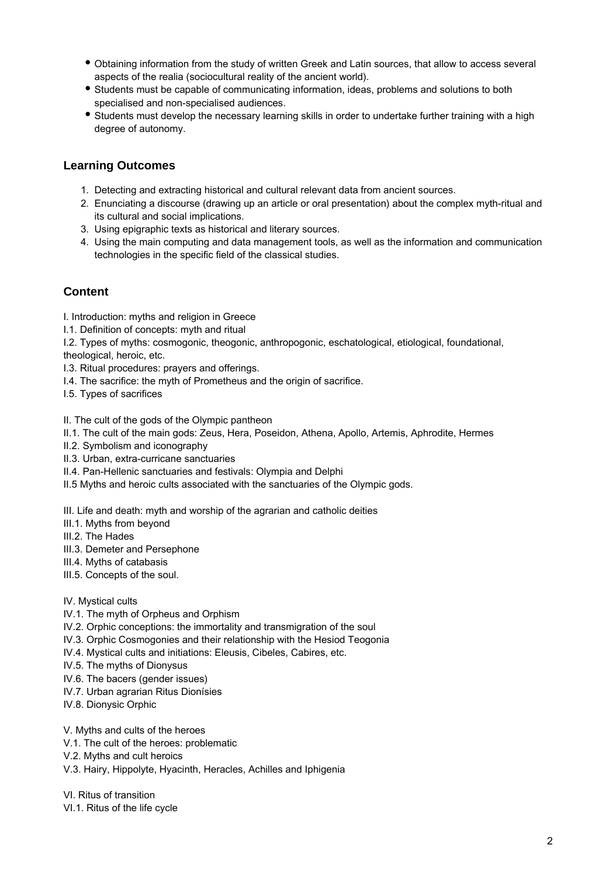- Obtaining information from the study of written Greek and Latin sources, that allow to access several aspects of the realia (sociocultural reality of the ancient world).
- Students must be capable of communicating information, ideas, problems and solutions to both specialised and non-specialised audiences.
- Students must develop the necessary learning skills in order to undertake further training with a high degree of autonomy.

### **Learning Outcomes**

- 1. Detecting and extracting historical and cultural relevant data from ancient sources.
- 2. Enunciating a discourse (drawing up an article or oral presentation) about the complex myth-ritual and its cultural and social implications.
- 3. Using epigraphic texts as historical and literary sources.
- 4. Using the main computing and data management tools, as well as the information and communication technologies in the specific field of the classical studies.

### **Content**

- I. Introduction: myths and religion in Greece
- I.1. Definition of concepts: myth and ritual
- I.2. Types of myths: cosmogonic, theogonic, anthropogonic, eschatological, etiological, foundational, theological, heroic, etc.
- I.3. Ritual procedures: prayers and offerings.
- I.4. The sacrifice: the myth of Prometheus and the origin of sacrifice.
- I.5. Types of sacrifices

#### II. The cult of the gods of the Olympic pantheon

- II.1. The cult of the main gods: Zeus, Hera, Poseidon, Athena, Apollo, Artemis, Aphrodite, Hermes
- II.2. Symbolism and iconography
- II.3. Urban, extra-curricane sanctuaries
- II.4. Pan-Hellenic sanctuaries and festivals: Olympia and Delphi
- II.5 Myths and heroic cults associated with the sanctuaries of the Olympic gods.

III. Life and death: myth and worship of the agrarian and catholic deities

- III.1. Myths from beyond
- III.2. The Hades
- III.3. Demeter and Persephone
- III.4. Myths of catabasis
- III.5. Concepts of the soul.

#### IV. Mystical cults

- IV.1. The myth of Orpheus and Orphism
- IV.2. Orphic conceptions: the immortality and transmigration of the soul
- IV.3. Orphic Cosmogonies and their relationship with the Hesiod Teogonia
- IV.4. Mystical cults and initiations: Eleusis, Cibeles, Cabires, etc.
- IV.5. The myths of Dionysus
- IV.6. The bacers (gender issues)
- IV.7. Urban agrarian Ritus Dionísies
- IV.8. Dionysic Orphic
- V. Myths and cults of the heroes
- V.1. The cult of the heroes: problematic
- V.2. Myths and cult heroics
- V.3. Hairy, Hippolyte, Hyacinth, Heracles, Achilles and Iphigenia

VI. Ritus of transition

VI.1. Ritus of the life cycle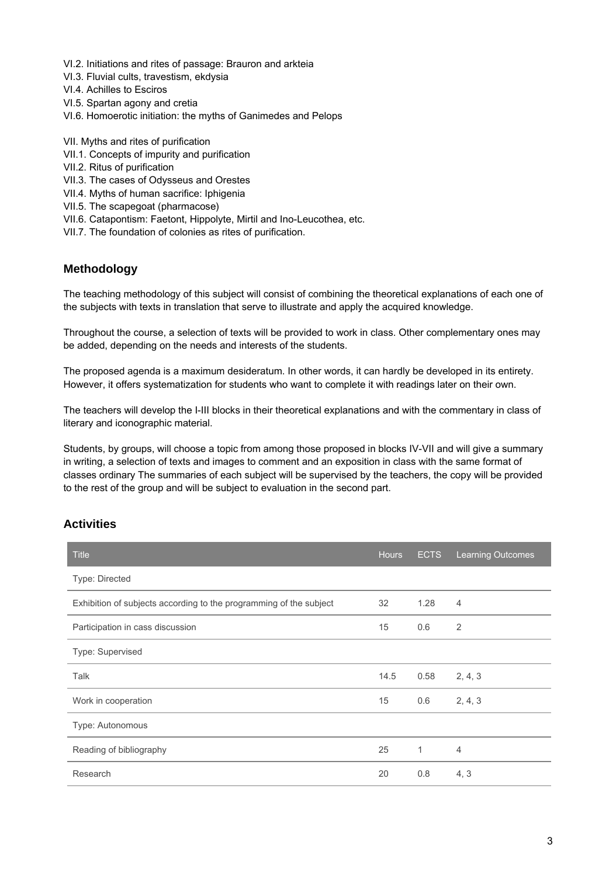- VI.2. Initiations and rites of passage: Brauron and arkteia
- VI.3. Fluvial cults, travestism, ekdysia
- VI.4. Achilles to Esciros
- VI.5. Spartan agony and cretia
- VI.6. Homoerotic initiation: the myths of Ganimedes and Pelops
- VII. Myths and rites of purification
- VII.1. Concepts of impurity and purification
- VII.2. Ritus of purification
- VII.3. The cases of Odysseus and Orestes
- VII.4. Myths of human sacrifice: Iphigenia
- VII.5. The scapegoat (pharmacose)
- VII.6. Catapontism: Faetont, Hippolyte, Mirtil and Ino-Leucothea, etc.
- VII.7. The foundation of colonies as rites of purification.

### **Methodology**

The teaching methodology of this subject will consist of combining the theoretical explanations of each one of the subjects with texts in translation that serve to illustrate and apply the acquired knowledge.

Throughout the course, a selection of texts will be provided to work in class. Other complementary ones may be added, depending on the needs and interests of the students.

The proposed agenda is a maximum desideratum. In other words, it can hardly be developed in its entirety. However, it offers systematization for students who want to complete it with readings later on their own.

The teachers will develop the I-III blocks in their theoretical explanations and with the commentary in class of literary and iconographic material.

Students, by groups, will choose a topic from among those proposed in blocks IV-VII and will give a summary in writing, a selection of texts and images to comment and an exposition in class with the same format of classes ordinary The summaries of each subject will be supervised by the teachers, the copy will be provided to the rest of the group and will be subject to evaluation in the second part.

## **Activities**

| <b>Title</b>                                                       | <b>Hours</b> | <b>ECTS</b> | <b>Learning Outcomes</b> |
|--------------------------------------------------------------------|--------------|-------------|--------------------------|
| Type: Directed                                                     |              |             |                          |
| Exhibition of subjects according to the programming of the subject |              | 1.28        | $\overline{4}$           |
| Participation in cass discussion                                   |              | 0.6         | $\overline{2}$           |
| Type: Supervised                                                   |              |             |                          |
| Talk                                                               | 14.5         | 0.58        | 2, 4, 3                  |
| Work in cooperation                                                | 15           | 0.6         | 2, 4, 3                  |
| Type: Autonomous                                                   |              |             |                          |
| Reading of bibliography                                            | 25           | 1           | $\overline{4}$           |
| Research                                                           | 20           | 0.8         | 4, 3                     |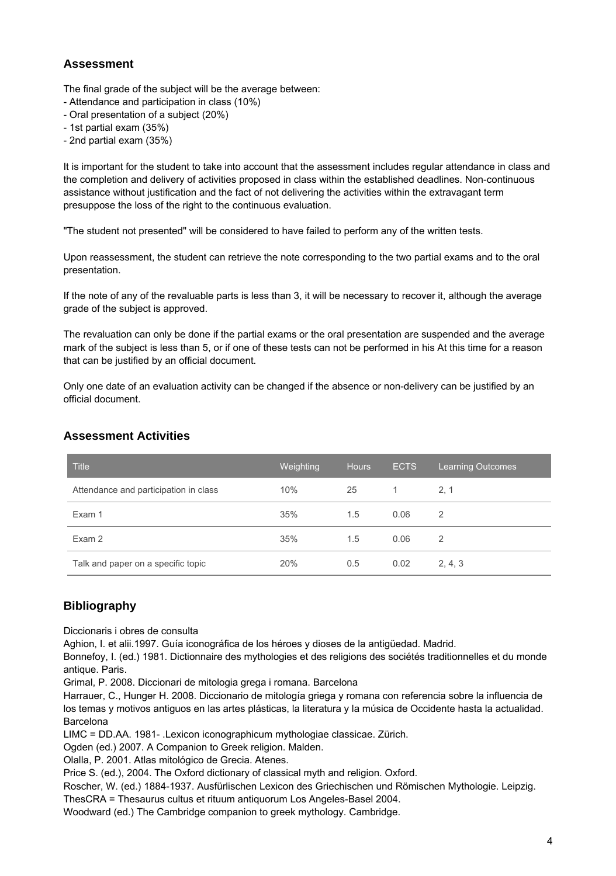# **Assessment**

The final grade of the subject will be the average between:

- Attendance and participation in class (10%)
- Oral presentation of a subject (20%)
- 1st partial exam (35%)
- 2nd partial exam (35%)

It is important for the student to take into account that the assessment includes regular attendance in class and the completion and delivery of activities proposed in class within the established deadlines. Non-continuous assistance without justification and the fact of not delivering the activities within the extravagant term presuppose the loss of the right to the continuous evaluation.

"The student not presented" will be considered to have failed to perform any of the written tests.

Upon reassessment, the student can retrieve the note corresponding to the two partial exams and to the oral presentation.

If the note of any of the revaluable parts is less than 3, it will be necessary to recover it, although the average grade of the subject is approved.

The revaluation can only be done if the partial exams or the oral presentation are suspended and the average mark of the subject is less than 5, or if one of these tests can not be performed in his At this time for a reason that can be justified by an official document.

Only one date of an evaluation activity can be changed if the absence or non-delivery can be justified by an official document.

### **Assessment Activities**

| <b>Title</b>                          | Weighting | <b>Hours</b> | <b>ECTS</b> | <b>Learning Outcomes</b> |
|---------------------------------------|-----------|--------------|-------------|--------------------------|
| Attendance and participation in class | 10%       | 25           | 1           | 2.1                      |
| Exam 1                                | 35%       | 1.5          | 0.06        | 2                        |
| Exam 2                                | 35%       | 1.5          | 0.06        | 2                        |
| Talk and paper on a specific topic    | 20%       | 0.5          | 0.02        | 2, 4, 3                  |

## **Bibliography**

Diccionaris i obres de consulta

Aghion, I. et alii.1997. Guía iconográfica de los héroes y dioses de la antigüedad. Madrid.

Bonnefoy, I. (ed.) 1981. Dictionnaire des mythologies et des religions des sociétés traditionnelles et du monde antique. Paris.

Grimal, P. 2008. Diccionari de mitologia grega i romana. Barcelona

Harrauer, C., Hunger H. 2008. Diccionario de mitología griega y romana con referencia sobre la influencia de los temas y motivos antiguos en las artes plásticas, la literatura y la música de Occidente hasta la actualidad. Barcelona

LIMC = DD.AA. 1981- .Lexicon iconographicum mythologiae classicae. Zürich.

Ogden (ed.) 2007. A Companion to Greek religion. Malden.

Olalla, P. 2001. Atlas mitológico de Grecia. Atenes.

Price S. (ed.), 2004. The Oxford dictionary of classical myth and religion. Oxford.

Roscher, W. (ed.) 1884-1937. Ausfürlischen Lexicon des Griechischen und Römischen Mythologie. Leipzig.

ThesCRA = Thesaurus cultus et rituum antiquorum Los Angeles-Basel 2004.

Woodward (ed.) The Cambridge companion to greek mythology. Cambridge.